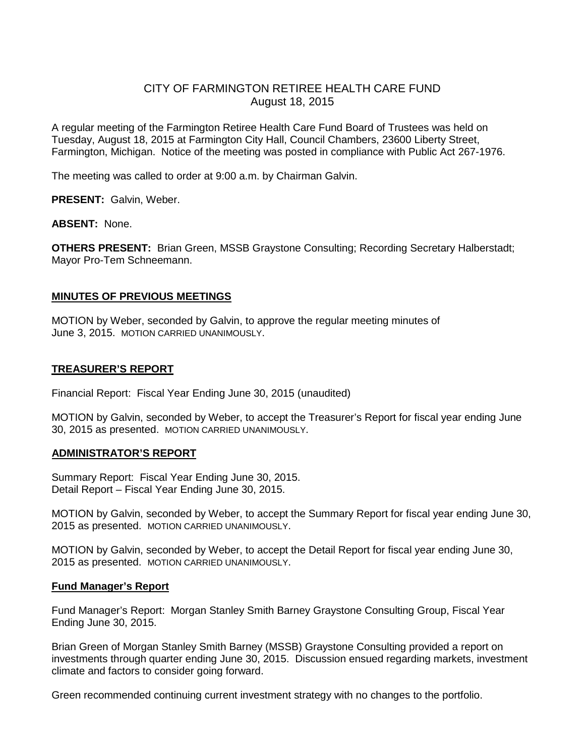# CITY OF FARMINGTON RETIREE HEALTH CARE FUND August 18, 2015

A regular meeting of the Farmington Retiree Health Care Fund Board of Trustees was held on Tuesday, August 18, 2015 at Farmington City Hall, Council Chambers, 23600 Liberty Street, Farmington, Michigan. Notice of the meeting was posted in compliance with Public Act 267-1976.

The meeting was called to order at 9:00 a.m. by Chairman Galvin.

**PRESENT:** Galvin, Weber.

**ABSENT:** None.

**OTHERS PRESENT:** Brian Green, MSSB Graystone Consulting; Recording Secretary Halberstadt; Mayor Pro-Tem Schneemann.

# **MINUTES OF PREVIOUS MEETINGS**

MOTION by Weber, seconded by Galvin, to approve the regular meeting minutes of June 3, 2015. MOTION CARRIED UNANIMOUSLY.

# **TREASURER'S REPORT**

Financial Report: Fiscal Year Ending June 30, 2015 (unaudited)

MOTION by Galvin, seconded by Weber, to accept the Treasurer's Report for fiscal year ending June 30, 2015 as presented. MOTION CARRIED UNANIMOUSLY.

## **ADMINISTRATOR'S REPORT**

Summary Report: Fiscal Year Ending June 30, 2015. Detail Report – Fiscal Year Ending June 30, 2015.

MOTION by Galvin, seconded by Weber, to accept the Summary Report for fiscal year ending June 30, 2015 as presented. MOTION CARRIED UNANIMOUSLY.

MOTION by Galvin, seconded by Weber, to accept the Detail Report for fiscal year ending June 30, 2015 as presented. MOTION CARRIED UNANIMOUSLY.

## **Fund Manager's Report**

Fund Manager's Report: Morgan Stanley Smith Barney Graystone Consulting Group, Fiscal Year Ending June 30, 2015.

Brian Green of Morgan Stanley Smith Barney (MSSB) Graystone Consulting provided a report on investments through quarter ending June 30, 2015. Discussion ensued regarding markets, investment climate and factors to consider going forward.

Green recommended continuing current investment strategy with no changes to the portfolio.